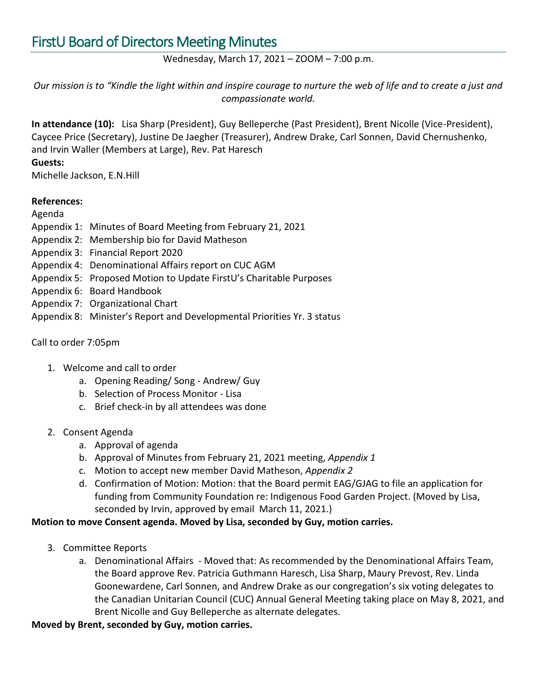## Wednesday, March 17, 2021 – ZOOM – 7:00 p.m.

*Our mission is to "Kindle the light within and inspire courage to nurture the web of life and to create a just and compassionate world.*

**In attendance (10):** Lisa Sharp (President), Guy Belleperche (Past President), Brent Nicolle (Vice-President), Caycee Price (Secretary), Justine De Jaegher (Treasurer), Andrew Drake, Carl Sonnen, David Chernushenko, and Irvin Waller (Members at Large), Rev. Pat Haresch

### **Guests:**

Michelle Jackson, E.N.Hill

#### **References:**

Agenda

- Appendix 1: Minutes of Board Meeting from February 21, 2021
- Appendix 2: Membership bio for David Matheson
- Appendix 3: Financial Report 2020
- Appendix 4: Denominational Affairs report on CUC AGM
- Appendix 5: Proposed Motion to Update FirstU's Charitable Purposes
- Appendix 6: Board Handbook
- Appendix 7: Organizational Chart
- Appendix 8: Minister's Report and Developmental Priorities Yr. 3 status

## Call to order 7:05pm

- 1. Welcome and call to order
	- a. Opening Reading/ Song Andrew/ Guy
	- b. Selection of Process Monitor Lisa
	- c. Brief check-in by all attendees was done

#### 2. Consent Agenda

- a. Approval of agenda
- b. Approval of Minutes from February 21, 2021 meeting, *Appendix 1*
- c. Motion to accept new member David Matheson, *Appendix 2*
- d. Confirmation of Motion: Motion: that the Board permit EAG/GJAG to file an application for funding from Community Foundation re: Indigenous Food Garden Project. (Moved by Lisa, seconded by Irvin, approved by email March 11, 2021.)

# **Motion to move Consent agenda. Moved by Lisa, seconded by Guy, motion carries.**

- 3. Committee Reports
	- a. Denominational Affairs Moved that: As recommended by the Denominational Affairs Team, the Board approve Rev. Patricia Guthmann Haresch, Lisa Sharp, Maury Prevost, Rev. Linda Goonewardene, Carl Sonnen, and Andrew Drake as our congregation's six voting delegates to the Canadian Unitarian Council (CUC) Annual General Meeting taking place on May 8, 2021, and Brent Nicolle and Guy Belleperche as alternate delegates.

**Moved by Brent, seconded by Guy, motion carries.**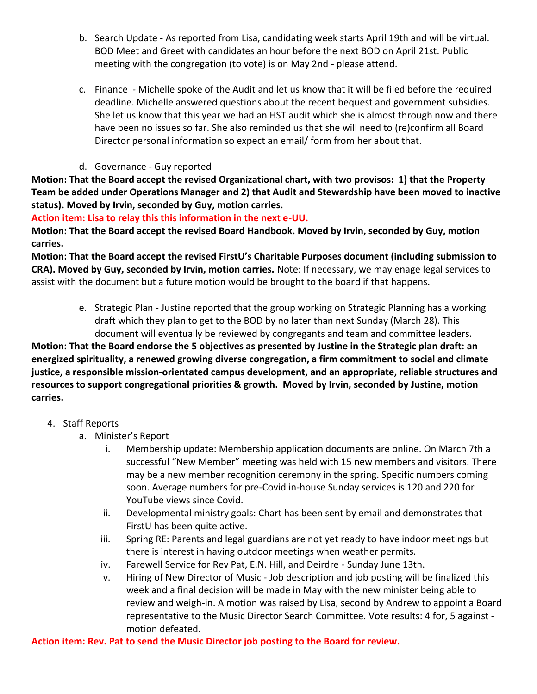- b. Search Update As reported from Lisa, candidating week starts April 19th and will be virtual. BOD Meet and Greet with candidates an hour before the next BOD on April 21st. Public meeting with the congregation (to vote) is on May 2nd - please attend.
- c. Finance Michelle spoke of the Audit and let us know that it will be filed before the required deadline. Michelle answered questions about the recent bequest and government subsidies. She let us know that this year we had an HST audit which she is almost through now and there have been no issues so far. She also reminded us that she will need to (re)confirm all Board Director personal information so expect an email/ form from her about that.
- d. Governance Guy reported

**Motion: That the Board accept the revised Organizational chart, with two provisos: 1) that the Property Team be added under Operations Manager and 2) that Audit and Stewardship have been moved to inactive status). Moved by Irvin, seconded by Guy, motion carries.** 

**Action item: Lisa to relay this this information in the next e-UU.**

**Motion: That the Board accept the revised Board Handbook. Moved by Irvin, seconded by Guy, motion carries.**

**Motion: That the Board accept the revised FirstU's Charitable Purposes document (including submission to CRA). Moved by Guy, seconded by Irvin, motion carries.** Note: If necessary, we may enage legal services to assist with the document but a future motion would be brought to the board if that happens.

e. Strategic Plan - Justine reported that the group working on Strategic Planning has a working draft which they plan to get to the BOD by no later than next Sunday (March 28). This document will eventually be reviewed by congregants and team and committee leaders.

**Motion: That the Board endorse the 5 objectives as presented by Justine in the Strategic plan draft: an energized spirituality, a renewed growing diverse congregation, a firm commitment to social and climate justice, a responsible mission-orientated campus development, and an appropriate, reliable structures and resources to support congregational priorities & growth. Moved by Irvin, seconded by Justine, motion carries.**

- 4. Staff Reports
	- a. Minister's Report
		- i. Membership update: Membership application documents are online. On March 7th a successful "New Member" meeting was held with 15 new members and visitors. There may be a new member recognition ceremony in the spring. Specific numbers coming soon. Average numbers for pre-Covid in-house Sunday services is 120 and 220 for YouTube views since Covid.
		- ii. Developmental ministry goals: Chart has been sent by email and demonstrates that FirstU has been quite active.
		- iii. Spring RE: Parents and legal guardians are not yet ready to have indoor meetings but there is interest in having outdoor meetings when weather permits.
		- iv. Farewell Service for Rev Pat, E.N. Hill, and Deirdre Sunday June 13th.
		- v. Hiring of New Director of Music Job description and job posting will be finalized this week and a final decision will be made in May with the new minister being able to review and weigh-in. A motion was raised by Lisa, second by Andrew to appoint a Board representative to the Music Director Search Committee. Vote results: 4 for, 5 against motion defeated.

**Action item: Rev. Pat to send the Music Director job posting to the Board for review.**